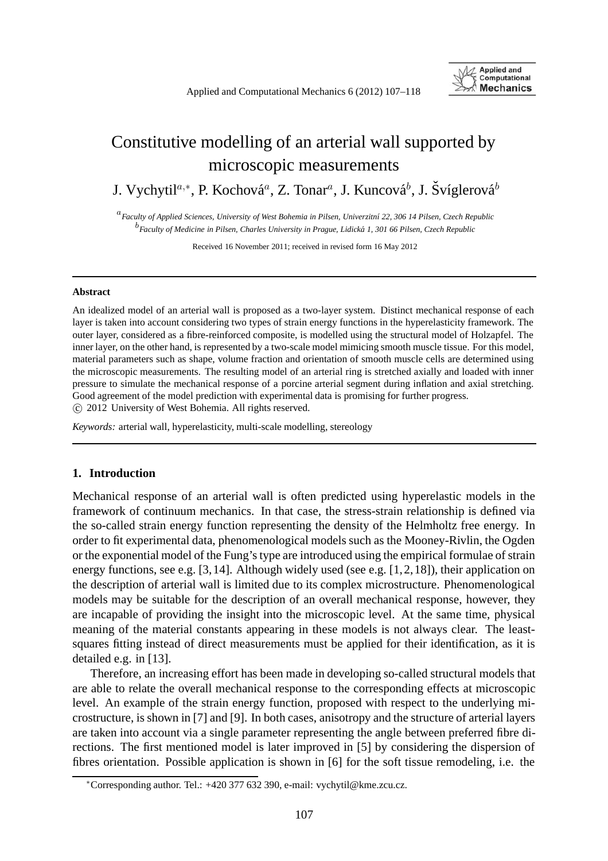

# Constitutive modelling of an arterial wall supported by microscopic measurements

J. Vychytil $a^*$ , P. Kochová $^a$ , Z. Tonar $^a$ , J. Kuncová $^b$ , J. Švíglerová $^b$ 

<sup>a</sup>*Faculty of Applied Sciences, University of West Bohemia in Pilsen, Univerzitn´ı 22, 306 14 Pilsen, Czech Republic* <sup>b</sup> Faculty of Medicine in Pilsen, Charles University in Prague, Lidická 1, 301 66 Pilsen, Czech Republic

Received 16 November 2011; received in revised form 16 May 2012

#### **Abstract**

An idealized model of an arterial wall is proposed as a two-layer system. Distinct mechanical response of each layer is taken into account considering two types of strain energy functions in the hyperelasticity framework. The outer layer, considered as a fibre-reinforced composite, is modelled using the structural model of Holzapfel. The inner layer, on the other hand, is represented by a two-scale model mimicing smooth muscle tissue. For this model, material parameters such as shape, volume fraction and orientation of smooth muscle cells are determined using the microscopic measurements. The resulting model of an arterial ring is stretched axially and loaded with inner pressure to simulate the mechanical response of a porcine arterial segment during inflation and axial stretching. Good agreement of the model prediction with experimental data is promising for further progress.

c 2012 University of West Bohemia. All rights reserved.

*Keywords:* arterial wall, hyperelasticity, multi-scale modelling, stereology

## **1. Introduction**

Mechanical response of an arterial wall is often predicted using hyperelastic models in the framework of continuum mechanics. In that case, the stress-strain relationship is defined via the so-called strain energy function representing the density of the Helmholtz free energy. In order to fit experimental data, phenomenological models such as the Mooney-Rivlin, the Ogden or the exponential model of the Fung's type are introduced using the empirical formulae of strain energy functions, see e.g. [3,14]. Although widely used (see e.g. [1,2,18]), their application on the description of arterial wall is limited due to its complex microstructure. Phenomenological models may be suitable for the description of an overall mechanical response, however, they are incapable of providing the insight into the microscopic level. At the same time, physical meaning of the material constants appearing in these models is not always clear. The leastsquares fitting instead of direct measurements must be applied for their identification, as it is detailed e.g. in [13].

Therefore, an increasing effort has been made in developing so-called structural models that are able to relate the overall mechanical response to the corresponding effects at microscopic level. An example of the strain energy function, proposed with respect to the underlying microstructure, is shown in [7] and [9]. In both cases, anisotropy and the structure of arterial layers are taken into account via a single parameter representing the angle between preferred fibre directions. The first mentioned model is later improved in [5] by considering the dispersion of fibres orientation. Possible application is shown in [6] for the soft tissue remodeling, i.e. the

<sup>∗</sup>Corresponding author. Tel.: +420 377 632 390, e-mail: vychytil@kme.zcu.cz.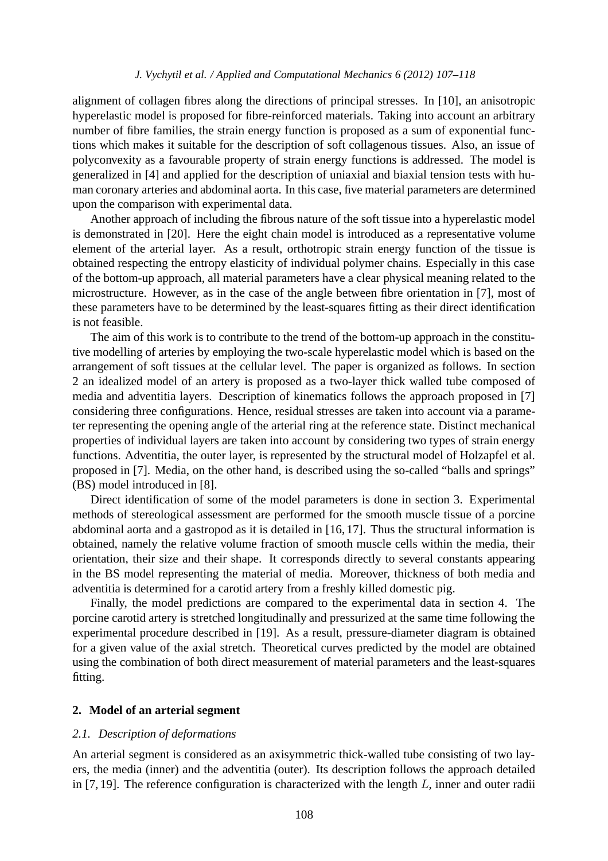alignment of collagen fibres along the directions of principal stresses. In [10], an anisotropic hyperelastic model is proposed for fibre-reinforced materials. Taking into account an arbitrary number of fibre families, the strain energy function is proposed as a sum of exponential functions which makes it suitable for the description of soft collagenous tissues. Also, an issue of polyconvexity as a favourable property of strain energy functions is addressed. The model is generalized in [4] and applied for the description of uniaxial and biaxial tension tests with human coronary arteries and abdominal aorta. In this case, five material parameters are determined upon the comparison with experimental data.

Another approach of including the fibrous nature of the soft tissue into a hyperelastic model is demonstrated in [20]. Here the eight chain model is introduced as a representative volume element of the arterial layer. As a result, orthotropic strain energy function of the tissue is obtained respecting the entropy elasticity of individual polymer chains. Especially in this case of the bottom-up approach, all material parameters have a clear physical meaning related to the microstructure. However, as in the case of the angle between fibre orientation in [7], most of these parameters have to be determined by the least-squares fitting as their direct identification is not feasible.

The aim of this work is to contribute to the trend of the bottom-up approach in the constitutive modelling of arteries by employing the two-scale hyperelastic model which is based on the arrangement of soft tissues at the cellular level. The paper is organized as follows. In section 2 an idealized model of an artery is proposed as a two-layer thick walled tube composed of media and adventitia layers. Description of kinematics follows the approach proposed in [7] considering three configurations. Hence, residual stresses are taken into account via a parameter representing the opening angle of the arterial ring at the reference state. Distinct mechanical properties of individual layers are taken into account by considering two types of strain energy functions. Adventitia, the outer layer, is represented by the structural model of Holzapfel et al. proposed in [7]. Media, on the other hand, is described using the so-called "balls and springs" (BS) model introduced in [8].

Direct identification of some of the model parameters is done in section 3. Experimental methods of stereological assessment are performed for the smooth muscle tissue of a porcine abdominal aorta and a gastropod as it is detailed in [16, 17]. Thus the structural information is obtained, namely the relative volume fraction of smooth muscle cells within the media, their orientation, their size and their shape. It corresponds directly to several constants appearing in the BS model representing the material of media. Moreover, thickness of both media and adventitia is determined for a carotid artery from a freshly killed domestic pig.

Finally, the model predictions are compared to the experimental data in section 4. The porcine carotid artery is stretched longitudinally and pressurized at the same time following the experimental procedure described in [19]. As a result, pressure-diameter diagram is obtained for a given value of the axial stretch. Theoretical curves predicted by the model are obtained using the combination of both direct measurement of material parameters and the least-squares fitting.

## **2. Model of an arterial segment**

## *2.1. Description of deformations*

An arterial segment is considered as an axisymmetric thick-walled tube consisting of two layers, the media (inner) and the adventitia (outer). Its description follows the approach detailed in [7, 19]. The reference configuration is characterized with the length  $L$ , inner and outer radii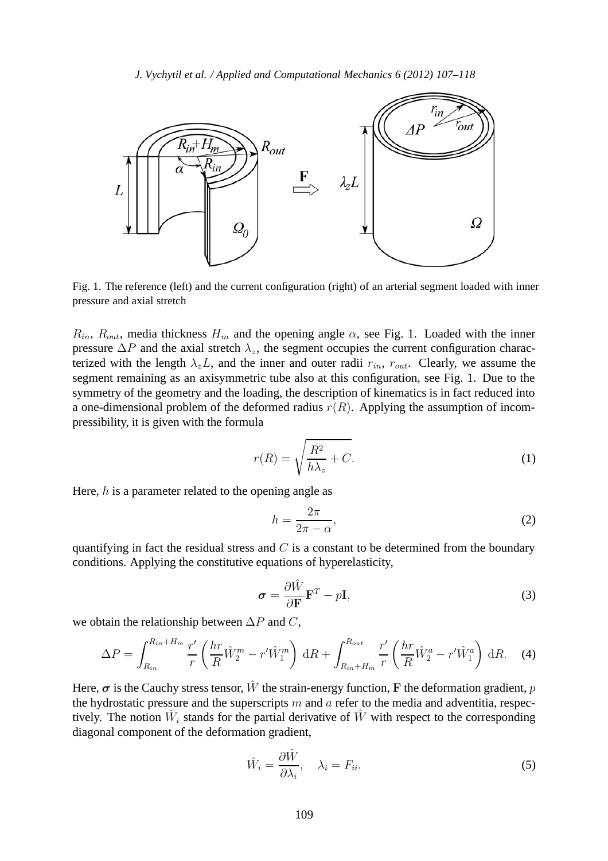

Fig. 1. The reference (left) and the current configuration (right) of an arterial segment loaded with inner pressure and axial stretch

 $R_{in}$ ,  $R_{out}$ , media thickness  $H_m$  and the opening angle  $\alpha$ , see Fig. 1. Loaded with the inner pressure  $\Delta P$  and the axial stretch  $\lambda_z$ , the segment occupies the current configuration characterized with the length  $\lambda_z L$ , and the inner and outer radii  $r_{in}$ ,  $r_{out}$ . Clearly, we assume the segment remaining as an axisymmetric tube also at this configuration, see Fig. 1. Due to the symmetry of the geometry and the loading, the description of kinematics is in fact reduced into a one-dimensional problem of the deformed radius  $r(R)$ . Applying the assumption of incompressibility, it is given with the formula

$$
r(R) = \sqrt{\frac{R^2}{h\lambda_z} + C}.\tag{1}
$$

Here,  $h$  is a parameter related to the opening angle as

$$
h = \frac{2\pi}{2\pi - \alpha},\tag{2}
$$

quantifying in fact the residual stress and  $C$  is a constant to be determined from the boundary conditions. Applying the constitutive equations of hyperelasticity,

$$
\boldsymbol{\sigma} = \frac{\partial \hat{W}}{\partial \mathbf{F}} \mathbf{F}^T - p \mathbf{I},
$$
\n(3)

we obtain the relationship between  $\Delta P$  and C,

$$
\Delta P = \int_{R_{in}}^{R_{in}+H_m} \frac{r'}{r} \left(\frac{hr}{R}\hat{W}_2^m - r'\hat{W}_1^m\right) dR + \int_{R_{in}+H_m}^{R_{out}} \frac{r'}{r} \left(\frac{hr}{R}\hat{W}_2^a - r'\hat{W}_1^a\right) dR. \tag{4}
$$

Here,  $\sigma$  is the Cauchy stress tensor,  $\hat{W}$  the strain-energy function, F the deformation gradient, p the hydrostatic pressure and the superscripts  $m$  and  $a$  refer to the media and adventitia, respectively. The notion  $\hat{W}_i$  stands for the partial derivative of  $\hat{W}$  with respect to the corresponding diagonal component of the deformation gradient,

$$
\hat{W}_i = \frac{\partial \hat{W}}{\partial \lambda_i}, \quad \lambda_i = F_{ii}.
$$
\n(5)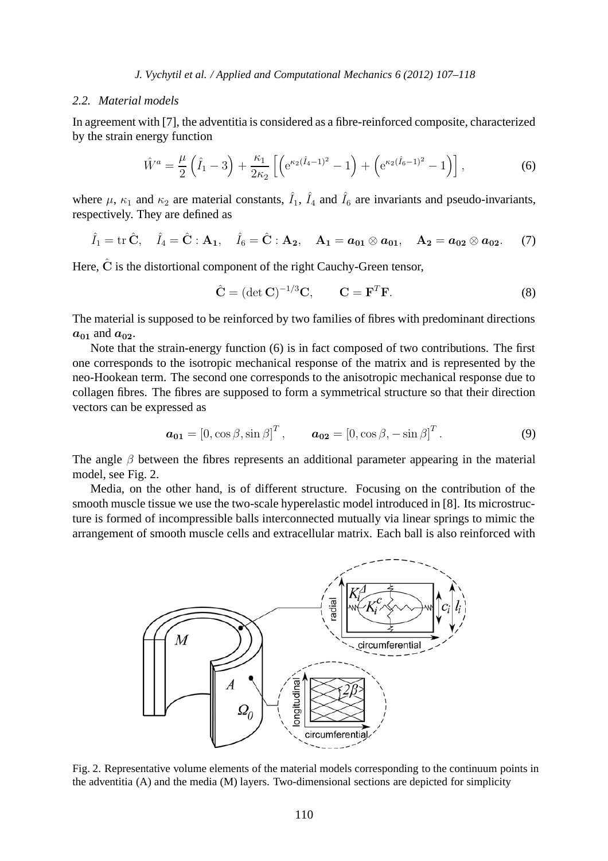## *2.2. Material models*

In agreement with [7], the adventitia is considered as a fibre-reinforced composite, characterized by the strain energy function

$$
\hat{W}^{a} = \frac{\mu}{2} \left( \hat{I}_{1} - 3 \right) + \frac{\kappa_{1}}{2\kappa_{2}} \left[ \left( e^{\kappa_{2} (\hat{I}_{4} - 1)^{2}} - 1 \right) + \left( e^{\kappa_{2} (\hat{I}_{6} - 1)^{2}} - 1 \right) \right],
$$
\n(6)

where  $\mu$ ,  $\kappa_1$  and  $\kappa_2$  are material constants,  $\hat{I}_1$ ,  $\hat{I}_4$  and  $\hat{I}_6$  are invariants and pseudo-invariants, respectively. They are defined as

$$
\hat{I}_1 = \text{tr }\hat{C}, \quad \hat{I}_4 = \hat{C} : A_1, \quad \hat{I}_6 = \hat{C} : A_2, \quad A_1 = a_{01} \otimes a_{01}, \quad A_2 = a_{02} \otimes a_{02}. \tag{7}
$$

Here,  $\hat{C}$  is the distortional component of the right Cauchy-Green tensor,

$$
\hat{\mathbf{C}} = (\det \mathbf{C})^{-1/3} \mathbf{C}, \qquad \mathbf{C} = \mathbf{F}^T \mathbf{F}.
$$
 (8)

The material is supposed to be reinforced by two families of fibres with predominant directions  $a_{01}$  and  $a_{02}$ .

Note that the strain-energy function (6) is in fact composed of two contributions. The first one corresponds to the isotropic mechanical response of the matrix and is represented by the neo-Hookean term. The second one corresponds to the anisotropic mechanical response due to collagen fibres. The fibres are supposed to form a symmetrical structure so that their direction vectors can be expressed as

$$
\boldsymbol{a_{01}} = \left[0, \cos\beta, \sin\beta\right]^T, \qquad \boldsymbol{a_{02}} = \left[0, \cos\beta, -\sin\beta\right]^T. \tag{9}
$$

The angle  $\beta$  between the fibres represents an additional parameter appearing in the material model, see Fig. 2.

Media, on the other hand, is of different structure. Focusing on the contribution of the smooth muscle tissue we use the two-scale hyperelastic model introduced in [8]. Its microstructure is formed of incompressible balls interconnected mutually via linear springs to mimic the arrangement of smooth muscle cells and extracellular matrix. Each ball is also reinforced with



Fig. 2. Representative volume elements of the material models corresponding to the continuum points in the adventitia (A) and the media (M) layers. Two-dimensional sections are depicted for simplicity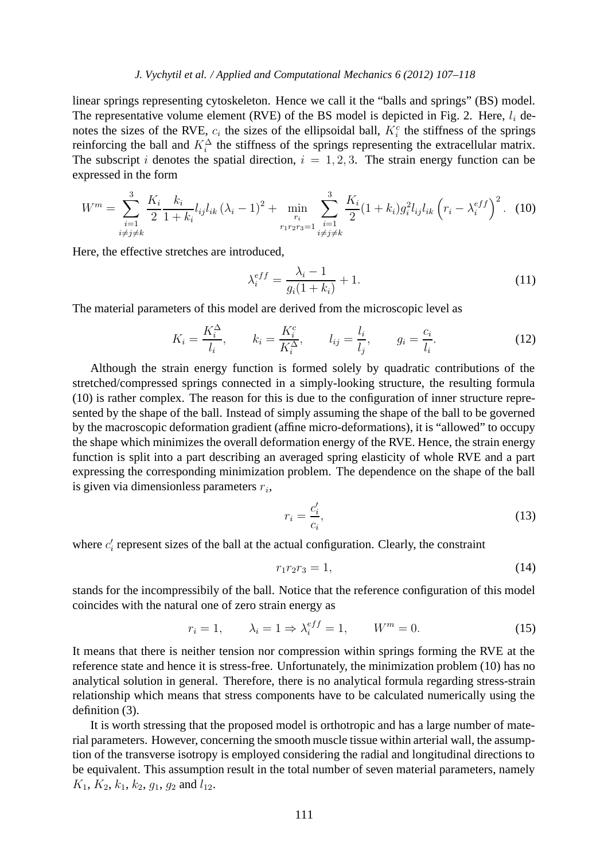linear springs representing cytoskeleton. Hence we call it the "balls and springs" (BS) model. The representative volume element (RVE) of the BS model is depicted in Fig. 2. Here,  $l_i$  denotes the sizes of the RVE,  $c_i$  the sizes of the ellipsoidal ball,  $K_i^c$  the stiffness of the springs reinforcing the ball and  $K_i^{\Delta}$  the stiffness of the springs representing the extracellular matrix. The subscript i denotes the spatial direction,  $i = 1, 2, 3$ . The strain energy function can be expressed in the form

$$
W^{m} = \sum_{\substack{i=1 \ i \neq j \neq k}}^{3} \frac{K_{i}}{2} \frac{k_{i}}{1 + k_{i}} l_{ij} l_{ik} (\lambda_{i} - 1)^{2} + \min_{\substack{r_{i} \\ r_{1}r_{2}r_{3} = 1}} \sum_{\substack{i=1 \ i \neq j \neq k}}^{3} \frac{K_{i}}{2} (1 + k_{i}) g_{i}^{2} l_{ij} l_{ik} \left(r_{i} - \lambda_{i}^{eff}\right)^{2}.
$$
 (10)

Here, the effective stretches are introduced,

$$
\lambda_i^{eff} = \frac{\lambda_i - 1}{g_i(1 + k_i)} + 1.
$$
\n(11)

The material parameters of this model are derived from the microscopic level as

$$
K_i = \frac{K_i^{\Delta}}{l_i}, \qquad k_i = \frac{K_i^c}{K_i^{\Delta}}, \qquad l_{ij} = \frac{l_i}{l_j}, \qquad g_i = \frac{c_i}{l_i}.
$$
 (12)

Although the strain energy function is formed solely by quadratic contributions of the stretched/compressed springs connected in a simply-looking structure, the resulting formula (10) is rather complex. The reason for this is due to the configuration of inner structure represented by the shape of the ball. Instead of simply assuming the shape of the ball to be governed by the macroscopic deformation gradient (affine micro-deformations), it is "allowed" to occupy the shape which minimizes the overall deformation energy of the RVE. Hence, the strain energy function is split into a part describing an averaged spring elasticity of whole RVE and a part expressing the corresponding minimization problem. The dependence on the shape of the ball is given via dimensionless parameters  $r_i$ ,

$$
r_i = \frac{c_i'}{c_i},\tag{13}
$$

where  $c_i$  represent sizes of the ball at the actual configuration. Clearly, the constraint

$$
r_1 r_2 r_3 = 1,\t\t(14)
$$

stands for the incompressibily of the ball. Notice that the reference configuration of this model coincides with the natural one of zero strain energy as

$$
r_i = 1, \qquad \lambda_i = 1 \Rightarrow \lambda_i^{eff} = 1, \qquad W^m = 0. \tag{15}
$$

It means that there is neither tension nor compression within springs forming the RVE at the reference state and hence it is stress-free. Unfortunately, the minimization problem (10) has no analytical solution in general. Therefore, there is no analytical formula regarding stress-strain relationship which means that stress components have to be calculated numerically using the definition (3).

It is worth stressing that the proposed model is orthotropic and has a large number of material parameters. However, concerning the smooth muscle tissue within arterial wall, the assumption of the transverse isotropy is employed considering the radial and longitudinal directions to be equivalent. This assumption result in the total number of seven material parameters, namely  $K_1, K_2, k_1, k_2, g_1, g_2$  and  $l_{12}$ .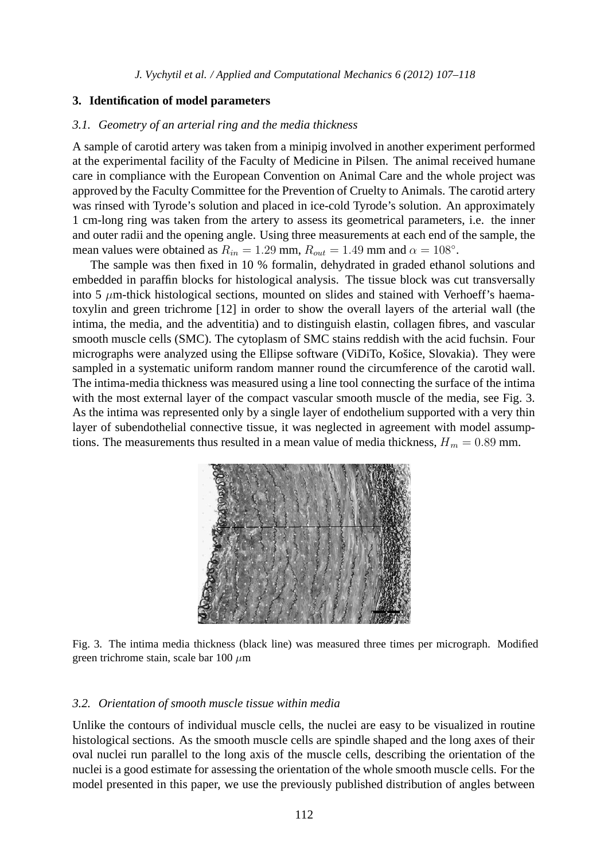## **3. Identification of model parameters**

## *3.1. Geometry of an arterial ring and the media thickness*

A sample of carotid artery was taken from a minipig involved in another experiment performed at the experimental facility of the Faculty of Medicine in Pilsen. The animal received humane care in compliance with the European Convention on Animal Care and the whole project was approved by the Faculty Committee for the Prevention of Cruelty to Animals. The carotid artery was rinsed with Tyrode's solution and placed in ice-cold Tyrode's solution. An approximately 1 cm-long ring was taken from the artery to assess its geometrical parameters, i.e. the inner and outer radii and the opening angle. Using three measurements at each end of the sample, the mean values were obtained as  $R_{in} = 1.29$  mm,  $R_{out} = 1.49$  mm and  $\alpha = 108^\circ$ .

The sample was then fixed in 10 % formalin, dehydrated in graded ethanol solutions and embedded in paraffin blocks for histological analysis. The tissue block was cut transversally into 5  $\mu$ m-thick histological sections, mounted on slides and stained with Verhoeff's haematoxylin and green trichrome [12] in order to show the overall layers of the arterial wall (the intima, the media, and the adventitia) and to distinguish elastin, collagen fibres, and vascular smooth muscle cells (SMC). The cytoplasm of SMC stains reddish with the acid fuchsin. Four micrographs were analyzed using the Ellipse software (ViDiTo, Košice, Slovakia). They were sampled in a systematic uniform random manner round the circumference of the carotid wall. The intima-media thickness was measured using a line tool connecting the surface of the intima with the most external layer of the compact vascular smooth muscle of the media, see Fig. 3. As the intima was represented only by a single layer of endothelium supported with a very thin layer of subendothelial connective tissue, it was neglected in agreement with model assumptions. The measurements thus resulted in a mean value of media thickness,  $H_m = 0.89$  mm.



Fig. 3. The intima media thickness (black line) was measured three times per micrograph. Modified green trichrome stain, scale bar  $100 \mu m$ 

## *3.2. Orientation of smooth muscle tissue within media*

Unlike the contours of individual muscle cells, the nuclei are easy to be visualized in routine histological sections. As the smooth muscle cells are spindle shaped and the long axes of their oval nuclei run parallel to the long axis of the muscle cells, describing the orientation of the nuclei is a good estimate for assessing the orientation of the whole smooth muscle cells. For the model presented in this paper, we use the previously published distribution of angles between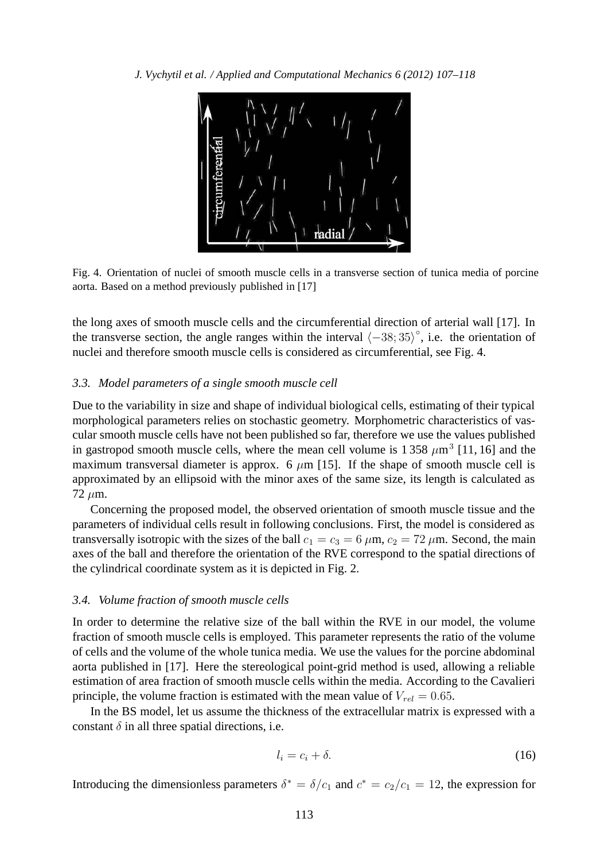

Fig. 4. Orientation of nuclei of smooth muscle cells in a transverse section of tunica media of porcine aorta. Based on a method previously published in [17]

the long axes of smooth muscle cells and the circumferential direction of arterial wall [17]. In the transverse section, the angle ranges within the interval  $\langle -38, 35 \rangle^{\circ}$ , i.e. the orientation of nuclei and therefore smooth muscle cells is considered as circumferential, see Fig. 4.

#### *3.3. Model parameters of a single smooth muscle cell*

Due to the variability in size and shape of individual biological cells, estimating of their typical morphological parameters relies on stochastic geometry. Morphometric characteristics of vascular smooth muscle cells have not been published so far, therefore we use the values published in gastropod smooth muscle cells, where the mean cell volume is 1 358  $\mu$ m<sup>3</sup> [11, 16] and the maximum transversal diameter is approx. 6  $\mu$ m [15]. If the shape of smooth muscle cell is approximated by an ellipsoid with the minor axes of the same size, its length is calculated as 72 μm.

Concerning the proposed model, the observed orientation of smooth muscle tissue and the parameters of individual cells result in following conclusions. First, the model is considered as transversally isotropic with the sizes of the ball  $c_1 = c_3 = 6 \ \mu \text{m}$ ,  $c_2 = 72 \ \mu \text{m}$ . Second, the main axes of the ball and therefore the orientation of the RVE correspond to the spatial directions of the cylindrical coordinate system as it is depicted in Fig. 2.

## *3.4. Volume fraction of smooth muscle cells*

In order to determine the relative size of the ball within the RVE in our model, the volume fraction of smooth muscle cells is employed. This parameter represents the ratio of the volume of cells and the volume of the whole tunica media. We use the values for the porcine abdominal aorta published in [17]. Here the stereological point-grid method is used, allowing a reliable estimation of area fraction of smooth muscle cells within the media. According to the Cavalieri principle, the volume fraction is estimated with the mean value of  $V_{rel} = 0.65$ .

In the BS model, let us assume the thickness of the extracellular matrix is expressed with a constant  $\delta$  in all three spatial directions, i.e.

$$
l_i = c_i + \delta. \tag{16}
$$

Introducing the dimensionless parameters  $\delta^* = \delta/c_1$  and  $c^* = c_2/c_1 = 12$ , the expression for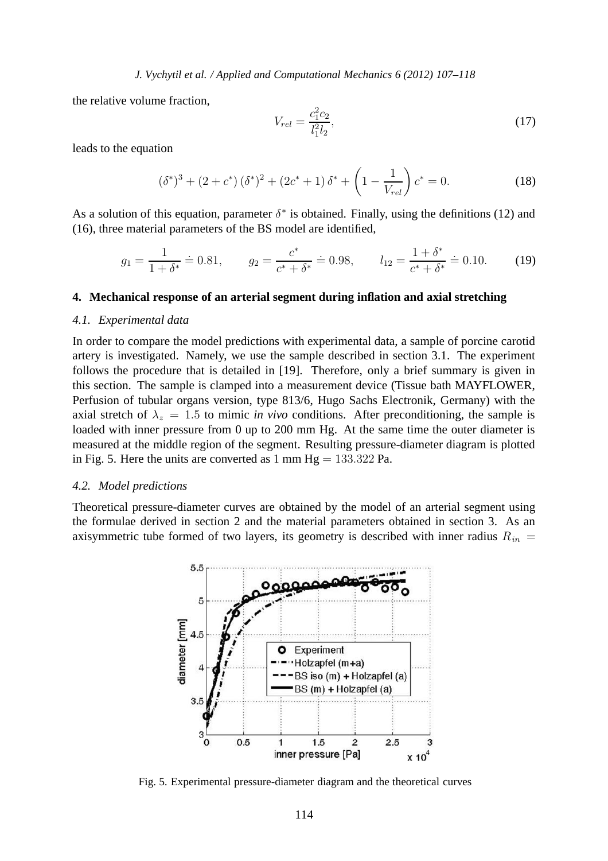the relative volume fraction,

$$
V_{rel} = \frac{c_1^2 c_2}{l_1^2 l_2},\tag{17}
$$

leads to the equation

$$
(\delta^*)^3 + (2 + c^*) (\delta^*)^2 + (2c^* + 1)\delta^* + \left(1 - \frac{1}{V_{rel}}\right)c^* = 0.
$$
 (18)

As a solution of this equation, parameter  $\delta^*$  is obtained. Finally, using the definitions (12) and (16), three material parameters of the BS model are identified,

$$
g_1 = \frac{1}{1+\delta^*} = 0.81,
$$
  $g_2 = \frac{c^*}{c^*+\delta^*} = 0.98,$   $l_{12} = \frac{1+\delta^*}{c^*+\delta^*} = 0.10.$  (19)

## **4. Mechanical response of an arterial segment during inflation and axial stretching**

#### *4.1. Experimental data*

In order to compare the model predictions with experimental data, a sample of porcine carotid artery is investigated. Namely, we use the sample described in section 3.1. The experiment follows the procedure that is detailed in [19]. Therefore, only a brief summary is given in this section. The sample is clamped into a measurement device (Tissue bath MAYFLOWER, Perfusion of tubular organs version, type 813/6, Hugo Sachs Electronik, Germany) with the axial stretch of  $\lambda_z = 1.5$  to mimic *in vivo* conditions. After preconditioning, the sample is loaded with inner pressure from 0 up to 200 mm Hg. At the same time the outer diameter is measured at the middle region of the segment. Resulting pressure-diameter diagram is plotted in Fig. 5. Here the units are converted as  $1 \text{ mm Hg} = 133.322 \text{ Pa}.$ 

## *4.2. Model predictions*

Theoretical pressure-diameter curves are obtained by the model of an arterial segment using the formulae derived in section 2 and the material parameters obtained in section 3. As an axisymmetric tube formed of two layers, its geometry is described with inner radius  $R_{in}$  =



Fig. 5. Experimental pressure-diameter diagram and the theoretical curves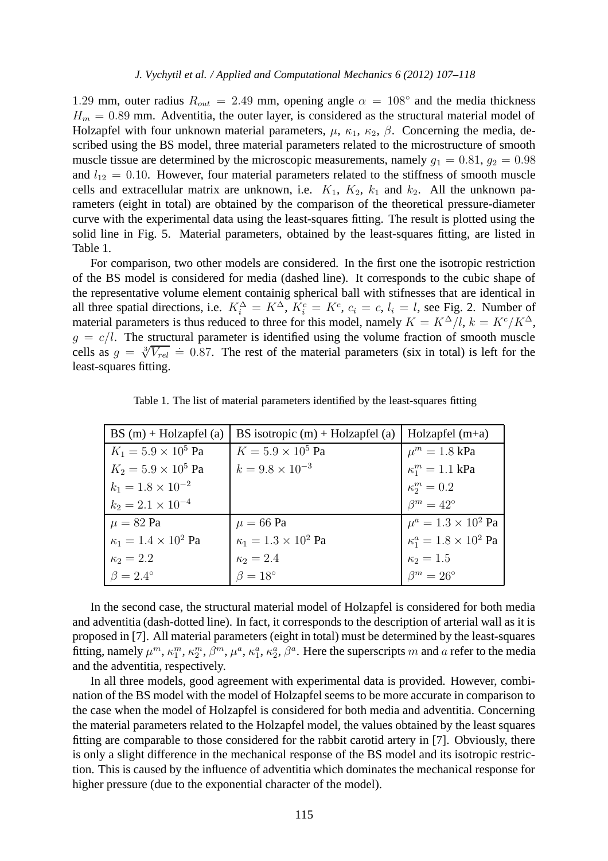1.29 mm, outer radius  $R_{out} = 2.49$  mm, opening angle  $\alpha = 108°$  and the media thickness  $H_m = 0.89$  mm. Adventitia, the outer layer, is considered as the structural material model of Holzapfel with four unknown material parameters,  $\mu$ ,  $\kappa_1$ ,  $\kappa_2$ ,  $\beta$ . Concerning the media, described using the BS model, three material parameters related to the microstructure of smooth muscle tissue are determined by the microscopic measurements, namely  $g_1 = 0.81$ ,  $g_2 = 0.98$ and  $l_{12} = 0.10$ . However, four material parameters related to the stiffness of smooth muscle cells and extracellular matrix are unknown, i.e.  $K_1$ ,  $K_2$ ,  $k_1$  and  $k_2$ . All the unknown parameters (eight in total) are obtained by the comparison of the theoretical pressure-diameter curve with the experimental data using the least-squares fitting. The result is plotted using the solid line in Fig. 5. Material parameters, obtained by the least-squares fitting, are listed in Table 1.

For comparison, two other models are considered. In the first one the isotropic restriction of the BS model is considered for media (dashed line). It corresponds to the cubic shape of the representative volume element containig spherical ball with stifnesses that are identical in all three spatial directions, i.e.  $K_i^{\Delta} = K^{\Delta}$ ,  $K_i^c = K^c$ ,  $c_i = c$ ,  $l_i = l$ , see Fig. 2. Number of material parameters is thus reduced to three for this model, namely  $K = K^{\Delta}/l$ ,  $k = K^{c}/K^{\Delta}$ ,  $g = c/l$ . The structural parameter is identified using the volume fraction of smooth muscle cells as  $g = \sqrt[3]{V_{rel}} = 0.87$ . The rest of the material parameters (six in total) is left for the least-squares fitting.

| $BS(m) + Holzapfel(a)$          | BS isotropic $(m)$ + Holzapfel (a) | Holzapfel $(m+a)$                 |
|---------------------------------|------------------------------------|-----------------------------------|
| $K_1 = 5.9 \times 10^5$ Pa      | $K = 5.9 \times 10^5$ Pa           | $\mu^m = 1.8 \text{ kPa}$         |
| $K_2 = 5.9 \times 10^5$ Pa      | $k = 9.8 \times 10^{-3}$           | $\kappa_1^m = 1.1 \text{ kPa}$    |
| $k_1 = 1.8 \times 10^{-2}$      |                                    | $\kappa_2^m = 0.2$                |
| $k_2 = 2.1 \times 10^{-4}$      |                                    | $\beta^m=42^\circ$                |
| $\mu = 82$ Pa                   | $\mu = 66$ Pa                      | $\mu^a = 1.3 \times 10^2$ Pa      |
| $\kappa_1 = 1.4 \times 10^2$ Pa | $\kappa_1 = 1.3 \times 10^2$ Pa    | $\kappa_1^a = 1.8 \times 10^2$ Pa |
| $\kappa_2 = 2.2$                | $\kappa_2=2.4$                     | $\kappa_2=1.5$                    |
| $\beta = 2.4^{\circ}$           | $\beta = 18^{\circ}$               | $\beta^m=26^\circ$                |

Table 1. The list of material parameters identified by the least-squares fitting

In the second case, the structural material model of Holzapfel is considered for both media and adventitia (dash-dotted line). In fact, it corresponds to the description of arterial wall as it is proposed in [7]. All material parameters (eight in total) must be determined by the least-squares fitting, namely  $\mu^m$ ,  $\kappa_1^m$ ,  $\kappa_2^m$ ,  $\beta^m$ ,  $\mu^a$ ,  $\kappa_1^a$ ,  $\kappa_2^a$ ,  $\beta^a$ . Here the superscripts m and a refer to the media and the adventitia, respectively.

In all three models, good agreement with experimental data is provided. However, combination of the BS model with the model of Holzapfel seems to be more accurate in comparison to the case when the model of Holzapfel is considered for both media and adventitia. Concerning the material parameters related to the Holzapfel model, the values obtained by the least squares fitting are comparable to those considered for the rabbit carotid artery in [7]. Obviously, there is only a slight difference in the mechanical response of the BS model and its isotropic restriction. This is caused by the influence of adventitia which dominates the mechanical response for higher pressure (due to the exponential character of the model).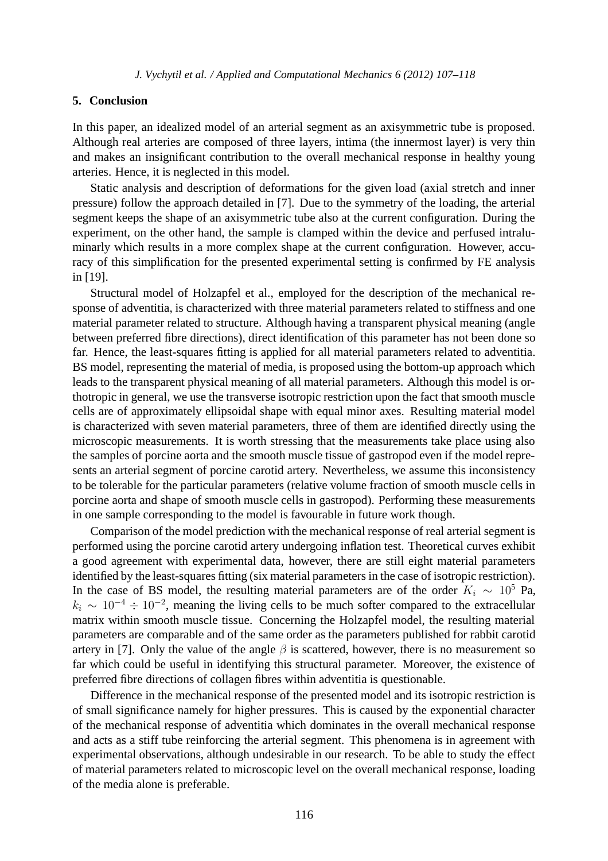## **5. Conclusion**

In this paper, an idealized model of an arterial segment as an axisymmetric tube is proposed. Although real arteries are composed of three layers, intima (the innermost layer) is very thin and makes an insignificant contribution to the overall mechanical response in healthy young arteries. Hence, it is neglected in this model.

Static analysis and description of deformations for the given load (axial stretch and inner pressure) follow the approach detailed in [7]. Due to the symmetry of the loading, the arterial segment keeps the shape of an axisymmetric tube also at the current configuration. During the experiment, on the other hand, the sample is clamped within the device and perfused intraluminarly which results in a more complex shape at the current configuration. However, accuracy of this simplification for the presented experimental setting is confirmed by FE analysis in [19].

Structural model of Holzapfel et al., employed for the description of the mechanical response of adventitia, is characterized with three material parameters related to stiffness and one material parameter related to structure. Although having a transparent physical meaning (angle between preferred fibre directions), direct identification of this parameter has not been done so far. Hence, the least-squares fitting is applied for all material parameters related to adventitia. BS model, representing the material of media, is proposed using the bottom-up approach which leads to the transparent physical meaning of all material parameters. Although this model is orthotropic in general, we use the transverse isotropic restriction upon the fact that smooth muscle cells are of approximately ellipsoidal shape with equal minor axes. Resulting material model is characterized with seven material parameters, three of them are identified directly using the microscopic measurements. It is worth stressing that the measurements take place using also the samples of porcine aorta and the smooth muscle tissue of gastropod even if the model represents an arterial segment of porcine carotid artery. Nevertheless, we assume this inconsistency to be tolerable for the particular parameters (relative volume fraction of smooth muscle cells in porcine aorta and shape of smooth muscle cells in gastropod). Performing these measurements in one sample corresponding to the model is favourable in future work though.

Comparison of the model prediction with the mechanical response of real arterial segment is performed using the porcine carotid artery undergoing inflation test. Theoretical curves exhibit a good agreement with experimental data, however, there are still eight material parameters identified by the least-squares fitting (six material parameters in the case of isotropic restriction). In the case of BS model, the resulting material parameters are of the order  $K_i \sim 10^5$  Pa,  $k_i \sim 10^{-4} \div 10^{-2}$ , meaning the living cells to be much softer compared to the extracellular matrix within smooth muscle tissue. Concerning the Holzapfel model, the resulting material parameters are comparable and of the same order as the parameters published for rabbit carotid artery in [7]. Only the value of the angle  $\beta$  is scattered, however, there is no measurement so far which could be useful in identifying this structural parameter. Moreover, the existence of preferred fibre directions of collagen fibres within adventitia is questionable.

Difference in the mechanical response of the presented model and its isotropic restriction is of small significance namely for higher pressures. This is caused by the exponential character of the mechanical response of adventitia which dominates in the overall mechanical response and acts as a stiff tube reinforcing the arterial segment. This phenomena is in agreement with experimental observations, although undesirable in our research. To be able to study the effect of material parameters related to microscopic level on the overall mechanical response, loading of the media alone is preferable.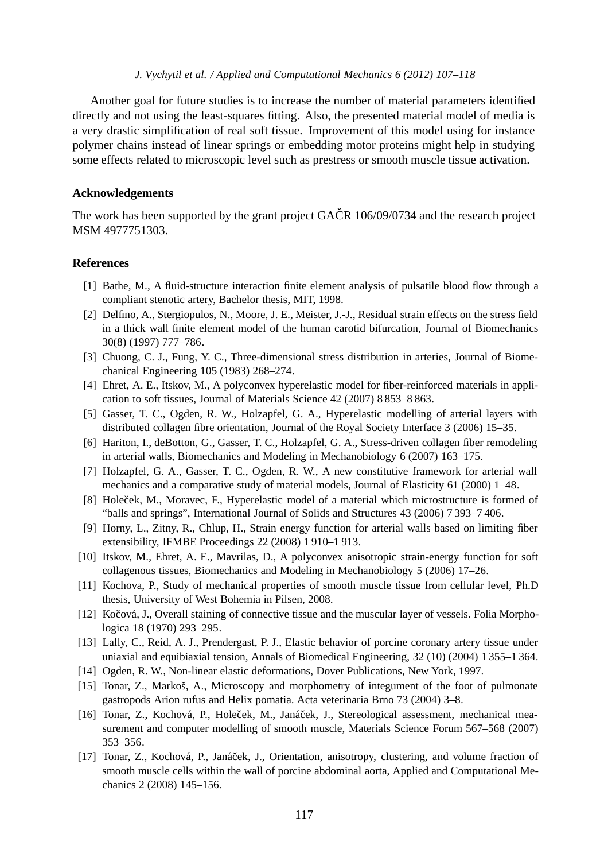Another goal for future studies is to increase the number of material parameters identified directly and not using the least-squares fitting. Also, the presented material model of media is a very drastic simplification of real soft tissue. Improvement of this model using for instance polymer chains instead of linear springs or embedding motor proteins might help in studying some effects related to microscopic level such as prestress or smooth muscle tissue activation.

#### **Acknowledgements**

The work has been supported by the grant project  $GACR$  106/09/0734 and the research project MSM 4977751303.

#### **References**

- [1] Bathe, M., A fluid-structure interaction finite element analysis of pulsatile blood flow through a compliant stenotic artery, Bachelor thesis, MIT, 1998.
- [2] Delfino, A., Stergiopulos, N., Moore, J. E., Meister, J.-J., Residual strain effects on the stress field in a thick wall finite element model of the human carotid bifurcation, Journal of Biomechanics 30(8) (1997) 777–786.
- [3] Chuong, C. J., Fung, Y. C., Three-dimensional stress distribution in arteries, Journal of Biomechanical Engineering 105 (1983) 268–274.
- [4] Ehret, A. E., Itskov, M., A polyconvex hyperelastic model for fiber-reinforced materials in application to soft tissues, Journal of Materials Science 42 (2007) 8 853–8 863.
- [5] Gasser, T. C., Ogden, R. W., Holzapfel, G. A., Hyperelastic modelling of arterial layers with distributed collagen fibre orientation, Journal of the Royal Society Interface 3 (2006) 15–35.
- [6] Hariton, I., deBotton, G., Gasser, T. C., Holzapfel, G. A., Stress-driven collagen fiber remodeling in arterial walls, Biomechanics and Modeling in Mechanobiology 6 (2007) 163–175.
- [7] Holzapfel, G. A., Gasser, T. C., Ogden, R. W., A new constitutive framework for arterial wall mechanics and a comparative study of material models, Journal of Elasticity 61 (2000) 1–48.
- [8] Holeček, M., Moravec, F., Hyperelastic model of a material which microstructure is formed of "balls and springs", International Journal of Solids and Structures 43 (2006) 7 393–7 406.
- [9] Horny, L., Zitny, R., Chlup, H., Strain energy function for arterial walls based on limiting fiber extensibility, IFMBE Proceedings 22 (2008) 1 910–1 913.
- [10] Itskov, M., Ehret, A. E., Mavrilas, D., A polyconvex anisotropic strain-energy function for soft collagenous tissues, Biomechanics and Modeling in Mechanobiology 5 (2006) 17–26.
- [11] Kochova, P., Study of mechanical properties of smooth muscle tissue from cellular level, Ph.D thesis, University of West Bohemia in Pilsen, 2008.
- [12] Kočová, J., Overall staining of connective tissue and the muscular layer of vessels. Folia Morphologica 18 (1970) 293–295.
- [13] Lally, C., Reid, A. J., Prendergast, P. J., Elastic behavior of porcine coronary artery tissue under uniaxial and equibiaxial tension, Annals of Biomedical Engineering, 32 (10) (2004) 1 355–1 364.
- [14] Ogden, R. W., Non-linear elastic deformations, Dover Publications, New York, 1997.
- [15] Tonar, Z., Markoš, A., Microscopy and morphometry of integument of the foot of pulmonate gastropods Arion rufus and Helix pomatia. Acta veterinaria Brno 73 (2004) 3–8.
- [16] Tonar, Z., Kochová, P., Holeček, M., Janáček, J., Stereological assessment, mechanical measurement and computer modelling of smooth muscle, Materials Science Forum 567–568 (2007) 353–356.
- [17] Tonar, Z., Kochová, P., Janáček, J., Orientation, anisotropy, clustering, and volume fraction of smooth muscle cells within the wall of porcine abdominal aorta, Applied and Computational Mechanics 2 (2008) 145–156.